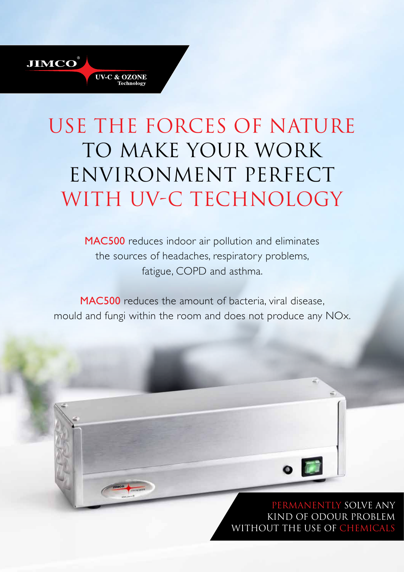# use the forces of nature TO MAKE YOUR WORK environment perfect WITH UV-C TECHNOLOGY

**JIMCO** 

**UV-C & OZONE** Technolog

MAC500 reduces indoor air pollution and eliminates the sources of headaches, respiratory problems, fatigue, COPD and asthma.

MAC500 reduces the amount of bacteria, viral disease, mould and fungi within the room and does not produce any NOx.

#### permanently solve any kind of odour problem without the use of chemicals